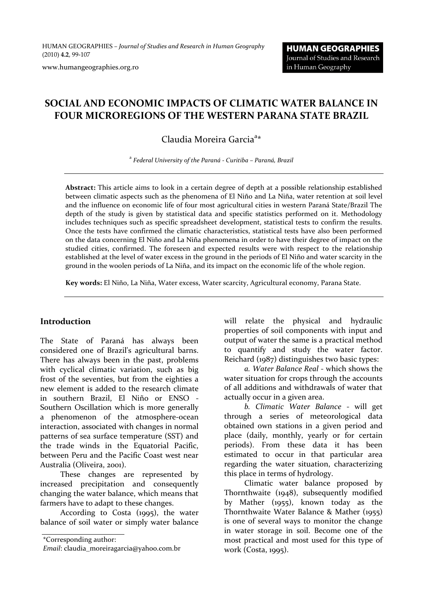HUMAN GEOGRAPHIES *– Journal of Studies and Research in Human Geography* (2010) **4.2**, 99-107

www.humangeographies.org.ro

# **SOCIAL AND ECONOMIC IMPACTS OF CLIMATIC WATER BALANCE IN FOUR MICROREGIONS OF THE WESTERN PARANA STATE BRAZIL**

# Claudia Moreira Garcia<sup>a\*</sup>

a *Federal University of the Paraná - Curitiba – Paraná, Brazil*

**Abstract:** This article aims to look in a certain degree of depth at a possible relationship established between climatic aspects such as the phenomena of El Niño and La Niña, water retention at soil level and the influence on economic life of four most agricultural cities in western Paraná State/Brazil The depth of the study is given by statistical data and specific statistics performed on it. Methodology includes techniques such as specific spreadsheet development, statistical tests to confirm the results. Once the tests have confirmed the climatic characteristics, statistical tests have also been performed on the data concerning El Niño and La Niña phenomena in order to have their degree of impact on the studied cities, confirmed. The foreseen and expected results were with respect to the relationship established at the level of water excess in the ground in the periods of El Niño and water scarcity in the ground in the woolen periods of La Niña, and its impact on the economic life of the whole region.

**Key words:** El Niño, La Niña, Water excess, Water scarcity, Agricultural economy, Parana State.

#### **Introduction**

The State of Paraná has always been considered one of Brazil's agricultural barns. There has always been in the past, problems with cyclical climatic variation, such as big frost of the seventies, but from the eighties a new element is added to the research climate in southern Brazil, El Niño or ENSO - Southern Oscillation which is more generally a phenomenon of the atmosphere-ocean interaction, associated with changes in normal patterns of sea surface temperature (SST) and the trade winds in the Equatorial Pacific, between Peru and the Pacific Coast west near Australia (Oliveira, 2001).

These changes are represented by increased precipitation and consequently changing the water balance, which means that farmers have to adapt to these changes.

According to Costa (1995), the water balance of soil water or simply water balance will relate the physical and hydraulic properties of soil components with input and output of water the same is a practical method to quantify and study the water factor. Reichard (1987) distinguishes two basic types:

*a. Water Balance Real* - which shows the water situation for crops through the accounts of all additions and withdrawals of water that actually occur in a given area.

*b. Climatic Water Balance* - will get through a series of meteorological data obtained own stations in a given period and place (daily, monthly, yearly or for certain periods). From these data it has been estimated to occur in that particular area regarding the water situation, characterizing this place in terms of hydrology.

Climatic water balance proposed by Thornthwaite (1948), subsequently modified by Mather (1955), known today as the Thornthwaite Water Balance & Mather (1955) is one of several ways to monitor the change in water storage in soil. Become one of the most practical and most used for this type of work (Costa, 1995).

<sup>\*</sup>Corresponding author:

*Email*: claudia\_moreiragarcia@yahoo.com.br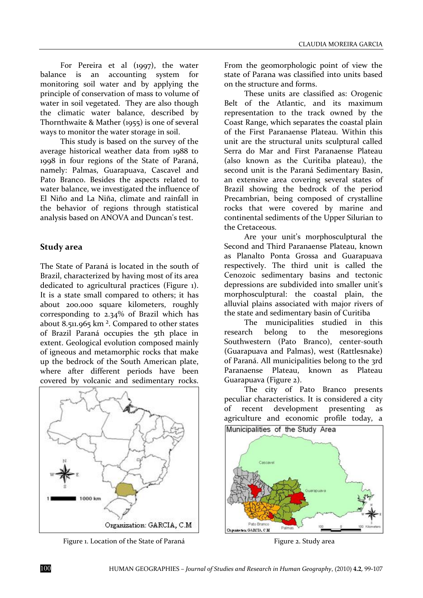For Pereira et al (1997), the water balance is an accounting system for monitoring soil water and by applying the principle of conservation of mass to volume of water in soil vegetated. They are also though the climatic water balance, described by Thornthwaite & Mather (1955) is one of several ways to monitor the water storage in soil.

This study is based on the survey of the average historical weather data from 1988 to 1998 in four regions of the State of Paraná, namely: Palmas, Guarapuava, Cascavel and Pato Branco. Besides the aspects related to water balance, we investigated the influence of El Niño and La Niña, climate and rainfall in the behavior of regions through statistical analysis based on ANOVA and Duncan's test.

## **Study area**

The State of Paraná is located in the south of Brazil, characterized by having most of its area dedicated to agricultural practices (Figure 1). It is a state small compared to others; it has about 200.000 square kilometers, roughly corresponding to 2.34% of Brazil which has about 8.511.965 km ². Compared to other states of Brazil Paraná occupies the 5th place in extent. Geological evolution composed mainly of igneous and metamorphic rocks that make up the bedrock of the South American plate, where after different periods have been covered by volcanic and sedimentary rocks.



Figure 1. Location of the State of Paraná Figure 2. Study area

From the geomorphologic point of view the state of Parana was classified into units based on the structure and forms.

These units are classified as: Orogenic Belt of the Atlantic, and its maximum representation to the track owned by the Coast Range, which separates the coastal plain of the First Paranaense Plateau. Within this unit are the structural units sculptural called Serra do Mar and First Paranaense Plateau (also known as the Curitiba plateau), the second unit is the Paraná Sedimentary Basin, an extensive area covering several states of Brazil showing the bedrock of the period Precambrian, being composed of crystalline rocks that were covered by marine and continental sediments of the Upper Silurian to the Cretaceous.

Are your unit's morphosculptural the Second and Third Paranaense Plateau, known as Planalto Ponta Grossa and Guarapuava respectively. The third unit is called the Cenozoic sedimentary basins and tectonic depressions are subdivided into smaller unit's morphosculptural: the coastal plain, the alluvial plains associated with major rivers of the state and sedimentary basin of Curitiba

The municipalities studied in this research belong to the mesoregions Southwestern (Pato Branco), center-south (Guarapuava and Palmas), west (Rattlesnake) of Paraná. All municipalities belong to the 3rd Paranaense Plateau, known as Plateau Guarapuava (Figure 2).

The city of Pato Branco presents peculiar characteristics. It is considered a city of recent development presenting as agriculture and economic profile today, a



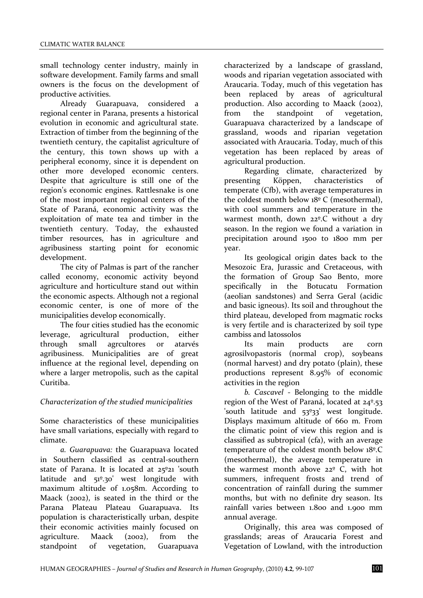small technology center industry, mainly in software development. Family farms and small owners is the focus on the development of productive activities.

Already Guarapuava, considered a regional center in Parana, presents a historical evolution in economic and agricultural state. Extraction of timber from the beginning of the twentieth century, the capitalist agriculture of the century, this town shows up with a peripheral economy, since it is dependent on other more developed economic centers. Despite that agriculture is still one of the region's economic engines. Rattlesnake is one of the most important regional centers of the State of Paraná, economic activity was the exploitation of mate tea and timber in the twentieth century. Today, the exhausted timber resources, has in agriculture and agribusiness starting point for economic development.

The city of Palmas is part of the rancher called economy, economic activity beyond agriculture and horticulture stand out within the economic aspects. Although not a regional economic center, is one of more of the municipalities develop economically.

The four cities studied has the economic leverage, agricultural production, either through small agrcultores or atarvés agribusiness. Municipalities are of great influence at the regional level, depending on where a larger metropolis, such as the capital Curitiba.

### *Characterization of the studied municipalities*

Some characteristics of these municipalities have small variations, especially with regard to climate.

*a. Guarapuava:* the Guarapuava located in Southern classified as central-southern state of Parana. It is located at 25º21 'south latitude and 51º.30' west longitude with maximum altitude of 1.058m. According to Maack (2002), is seated in the third or the Parana Plateau Plateau Guarapuava. Its population is characteristically urban, despite their economic activities mainly focused on agriculture. Maack (2002), from the standpoint of vegetation, Guarapuava

characterized by a landscape of grassland, woods and riparian vegetation associated with Araucaria. Today, much of this vegetation has been replaced by areas of agricultural production. Also according to Maack (2002), from the standpoint of vegetation, Guarapuava characterized by a landscape of grassland, woods and riparian vegetation associated with Araucaria. Today, much of this vegetation has been replaced by areas of agricultural production.

Regarding climate, characterized by presenting Köppen, characteristics of temperate (Cfb), with average temperatures in the coldest month below  $18^{\circ}$  C (mesothermal), with cool summers and temperature in the warmest month, down 22º.C without a dry season. In the region we found a variation in precipitation around 1500 to 1800 mm per year.

Its geological origin dates back to the Mesozoic Era, Jurassic and Cretaceous, with the formation of Group Sao Bento, more specifically in the Botucatu Formation (aeolian sandstones) and Serra Geral (acidic and basic igneous). Its soil and throughout the third plateau, developed from magmatic rocks is very fertile and is characterized by soil type cambiss and latossolos

Its main products are corn agrosilvopastoris (normal crop), soybeans (normal harvest) and dry potato (plain), these productions represent 8.95% of economic activities in the region

*b. Cascavel* - Belonging to the middle region of the West of Paraná, located at 24º.53 'south latitude and 53º33' west longitude. Displays maximum altitude of 660 m. From the climatic point of view this region and is classified as subtropical (cfa), with an average temperature of the coldest month below 18º.C (mesothermal), the average temperature in the warmest month above 22º C, with hot summers, infrequent frosts and trend of concentration of rainfall during the summer months, but with no definite dry season. Its rainfall varies between 1.800 and 1.900 mm annual average.

Originally, this area was composed of grasslands; areas of Araucaria Forest and Vegetation of Lowland, with the introduction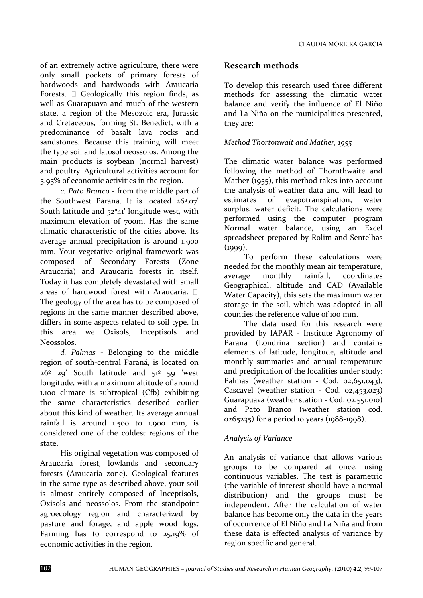of an extremely active agriculture, there were only small pockets of primary forests of hardwoods and hardwoods with Araucaria Forests.  $\Box$  Geologically this region finds, as well as Guarapuava and much of the western state, a region of the Mesozoic era, Jurassic and Cretaceous, forming St. Benedict, with a predominance of basalt lava rocks and sandstones. Because this training will meet the type soil and latosol neossolos. Among the main products is soybean (normal harvest) and poultry. Agricultural activities account for 5.95% of economic activities in the region.

*c. Pato Branco* - from the middle part of the Southwest Parana. It is located 26º.07' South latitude and 52º41' longitude west, with maximum elevation of 700m. Has the same climatic characteristic of the cities above. Its average annual precipitation is around 1.900 mm. Your vegetative original framework was composed of Secondary Forests (Zone Araucaria) and Araucaria forests in itself. Today it has completely devastated with small areas of hardwood forest with Araucaria. The geology of the area has to be composed of regions in the same manner described above, differs in some aspects related to soil type. In this area we Oxisols, Inceptisols and Neossolos.

*d. Palmas* - Belonging to the middle region of south-central Paraná, is located on  $26^{\circ}$  29' South latitude and  $51^{\circ}$  59 'west longitude, with a maximum altitude of around 1.100 climate is subtropical (Cfb) exhibiting the same characteristics described earlier about this kind of weather. Its average annual rainfall is around 1.500 to 1.900 mm, is considered one of the coldest regions of the state.

His original vegetation was composed of Araucaria forest, lowlands and secondary forests (Araucaria zone). Geological features in the same type as described above, your soil is almost entirely composed of Inceptisols, Oxisols and neossolos. From the standpoint agroecology region and characterized by pasture and forage, and apple wood logs. Farming has to correspond to 25.19% of economic activities in the region.

## **Research methods**

To develop this research used three different methods for assessing the climatic water balance and verify the influence of El Niño and La Niña on the municipalities presented, they are:

#### *Method Thortonwait and Mather, 1955*

The climatic water balance was performed following the method of Thornthwaite and Mather (1955), this method takes into account the analysis of weather data and will lead to estimates of evapotranspiration, water surplus, water deficit. The calculations were performed using the computer program Normal water balance, using an Excel spreadsheet prepared by Rolim and Sentelhas  $(1000)$ .

To perform these calculations were needed for the monthly mean air temperature, average monthly rainfall, coordinates Geographical, altitude and CAD (Available Water Capacity), this sets the maximum water storage in the soil, which was adopted in all counties the reference value of 100 mm.

The data used for this research were provided by IAPAR - Institute Agronomy of Paraná (Londrina section) and contains elements of latitude, longitude, altitude and monthly summaries and annual temperature and precipitation of the localities under study: Palmas (weather station - Cod. 02,651,043), Cascavel (weather station - Cod. 02,453,023) Guarapuava (weather station - Cod. 02,551,010) and Pato Branco (weather station cod. 0265235) for a period 10 years (1988-1998).

### *Analysis of Variance*

An analysis of variance that allows various groups to be compared at once, using continuous variables. The test is parametric (the variable of interest should have a normal distribution) and the groups must be independent. After the calculation of water balance has become only the data in the years of occurrence of El Niño and La Niña and from these data is effected analysis of variance by region specific and general.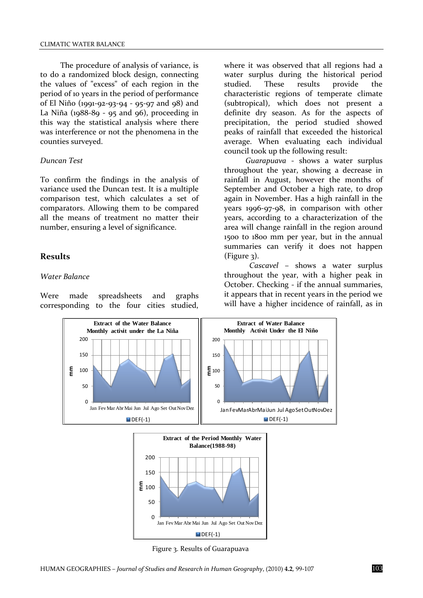The procedure of analysis of variance, is to do a randomized block design, connecting the values of "excess" of each region in the period of 10 years in the period of performance of El Niño (1991-92-93-94 - 95-97 and 98) and La Niña (1988-89 - 95 and 96), proceeding in this way the statistical analysis where there was interference or not the phenomena in the counties surveyed.

#### *Duncan Test*

To confirm the findings in the analysis of variance used the Duncan test. It is a multiple comparison test, which calculates a set of comparators. Allowing them to be compared all the means of treatment no matter their number, ensuring a level of significance.

#### **Results**

#### *Water Balance*

Were made spreadsheets and graphs corresponding to the four cities studied,

where it was observed that all regions had a water surplus during the historical period studied. These results provide the characteristic regions of temperate climate (subtropical), which does not present a definite dry season. As for the aspects of precipitation, the period studied showed peaks of rainfall that exceeded the historical average. When evaluating each individual council took up the following result:

*Guarapuava* - shows a water surplus throughout the year, showing a decrease in rainfall in August, however the months of September and October a high rate, to drop again in November. Has a high rainfall in the years 1996-97-98, in comparison with other years, according to a characterization of the area will change rainfall in the region around 1500 to 1800 mm per year, but in the annual summaries can verify it does not happen (Figure 3).

*Cascavel* – shows a water surplus throughout the year, with a higher peak in October. Checking - if the annual summaries, it appears that in recent years in the period we will have a higher incidence of rainfall, as in





Figure 3. Results of Guarapuava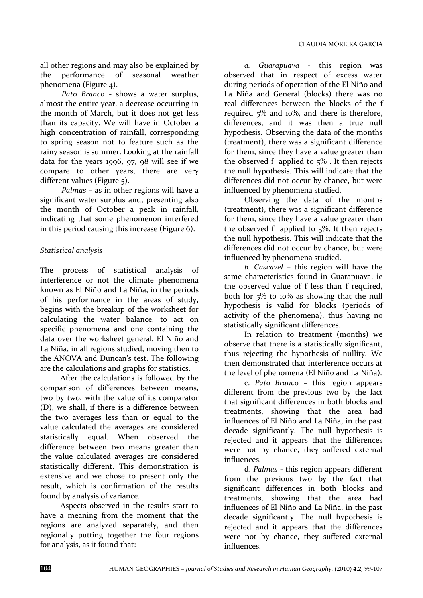all other regions and may also be explained by the performance of seasonal weather phenomena (Figure 4).

*Pato Branco* - shows a water surplus, almost the entire year, a decrease occurring in the month of March, but it does not get less than its capacity. We will have in October a high concentration of rainfall, corresponding to spring season not to feature such as the rainy season is summer. Looking at the rainfall data for the years 1996, 97, 98 will see if we compare to other years, there are very different values (Figure 5).

*Palmas* – as in other regions will have a significant water surplus and, presenting also the month of October a peak in rainfall, indicating that some phenomenon interfered in this period causing this increase (Figure 6).

## *Statistical analysis*

The process of statistical analysis of interference or not the climate phenomena known as El Niño and La Niña, in the periods of his performance in the areas of study, begins with the breakup of the worksheet for calculating the water balance, to act on specific phenomena and one containing the data over the worksheet general, El Niño and La Niña, in all regions studied, moving then to the ANOVA and Duncan's test. The following are the calculations and graphs for statistics.

After the calculations is followed by the comparison of differences between means, two by two, with the value of its comparator (D), we shall, if there is a difference between the two averages less than or equal to the value calculated the averages are considered statistically equal. When observed the difference between two means greater than the value calculated averages are considered statistically different. This demonstration is extensive and we chose to present only the result, which is confirmation of the results found by analysis of variance.

Aspects observed in the results start to have a meaning from the moment that the regions are analyzed separately, and then regionally putting together the four regions for analysis, as it found that:

*a. Guarapuava* - this region was observed that in respect of excess water during periods of operation of the El Niño and La Niña and General (blocks) there was no real differences between the blocks of the f required 5% and 10%, and there is therefore, differences, and it was then a true null hypothesis. Observing the data of the months (treatment), there was a significant difference for them, since they have a value greater than the observed  $f$  applied to  $5\%$ . It then rejects the null hypothesis. This will indicate that the differences did not occur by chance, but were influenced by phenomena studied.

Observing the data of the months (treatment), there was a significant difference for them, since they have a value greater than the observed f applied to  $5\%$ . It then rejects the null hypothesis. This will indicate that the differences did not occur by chance, but were influenced by phenomena studied.

*b. Cascavel* – this region will have the same characteristics found in Guarapuava, ie the observed value of f less than f required, both for 5% to 10% as showing that the null hypothesis is valid for blocks (periods of activity of the phenomena), thus having no statistically significant differences.

In relation to treatment (months) we observe that there is a statistically significant, thus rejecting the hypothesis of nullity. We then demonstrated that interference occurs at the level of phenomena (El Niño and La Niña).

c. *Pato Branco* – this region appears different from the previous two by the fact that significant differences in both blocks and treatments, showing that the area had influences of El Niño and La Niña, in the past decade significantly. The null hypothesis is rejected and it appears that the differences were not by chance, they suffered external influences.

d. *Palmas* - this region appears different from the previous two by the fact that significant differences in both blocks and treatments, showing that the area had influences of El Niño and La Niña, in the past decade significantly. The null hypothesis is rejected and it appears that the differences were not by chance, they suffered external influences.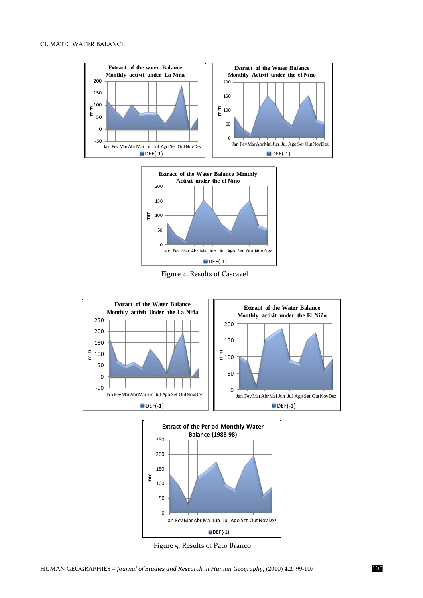



Figure 4. Results of Cascavel





Figure 5. Results of Pato Branco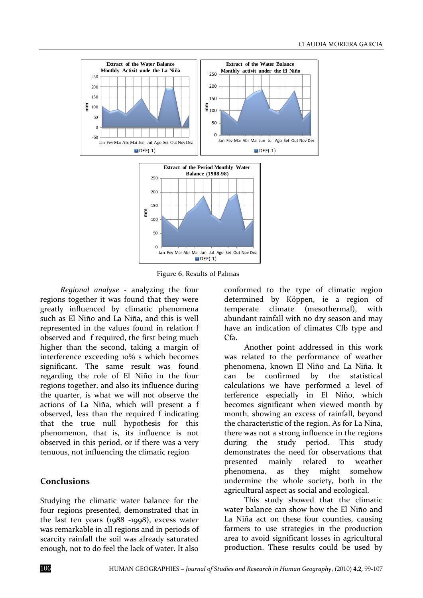

Figure 6. Results of Palmas

*Regional analyse* - analyzing the four regions together it was found that they were greatly influenced by climatic phenomena such as El Niño and La Niña, and this is well represented in the values found in relation f observed and f required, the first being much higher than the second, taking a margin of interference exceeding 10% s which becomes significant. The same result was found regarding the role of El Niño in the four regions together, and also its influence during the quarter, is what we will not observe the actions of La Niña, which will present a f observed, less than the required f indicating that the true null hypothesis for this phenomenon, that is, its influence is not observed in this period, or if there was a very tenuous, not influencing the climatic region

### **Conclusions**

Studying the climatic water balance for the four regions presented, demonstrated that in the last ten years (1988 -1998), excess water was remarkable in all regions and in periods of scarcity rainfall the soil was already saturated enough, not to do feel the lack of water. It also

conformed to the type of climatic region determined by Köppen, ie a region of temperate climate (mesothermal), with abundant rainfall with no dry season and may have an indication of climates Cfb type and Cfa.

Another point addressed in this work was related to the performance of weather phenomena, known El Niño and La Niña. It can be confirmed by the statistical calculations we have performed a level of terference especially in El Niño, which becomes significant when viewed month by month, showing an excess of rainfall, beyond the characteristic of the region. As for La Nina, there was not a strong influence in the regions during the study period. This study demonstrates the need for observations that presented mainly related to weather phenomena, as they might somehow undermine the whole society, both in the agricultural aspect as social and ecological.

This study showed that the climatic water balance can show how the El Niño and La Niña act on these four counties, causing farmers to use strategies in the production area to avoid significant losses in agricultural production. These results could be used by